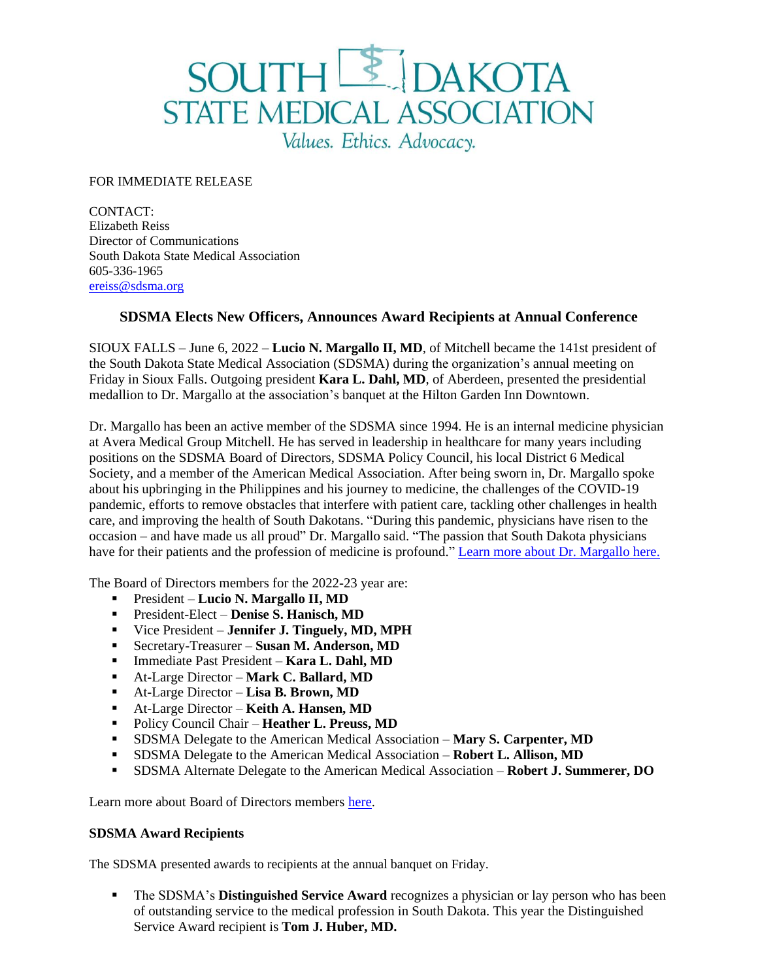## SOUTHE DAKOTA<br>STATE MEDICAL ASSOCIATION Values. Ethics. Advocacy.

## FOR IMMEDIATE RELEASE

CONTACT: Elizabeth Reiss Director of Communications South Dakota State Medical Association 605-336-1965 [ereiss@sdsma.org](mailto:ereiss@sdsma.org)

## **SDSMA Elects New Officers, Announces Award Recipients at Annual Conference**

SIOUX FALLS – June 6, 2022 – **Lucio N. Margallo II, MD**, of Mitchell became the 141st president of the South Dakota State Medical Association (SDSMA) during the organization's annual meeting on Friday in Sioux Falls. Outgoing president **Kara L. Dahl, MD**, of Aberdeen, presented the presidential medallion to Dr. Margallo at the association's banquet at the Hilton Garden Inn Downtown.

Dr. Margallo has been an active member of the SDSMA since 1994. He is an internal medicine physician at Avera Medical Group Mitchell. He has served in leadership in healthcare for many years including positions on the SDSMA Board of Directors, SDSMA Policy Council, his local District 6 Medical Society, and a member of the American Medical Association. After being sworn in, Dr. Margallo spoke about his upbringing in the Philippines and his journey to medicine, the challenges of the COVID-19 pandemic, efforts to remove obstacles that interfere with patient care, tackling other challenges in health care, and improving the health of South Dakotans. "During this pandemic, physicians have risen to the occasion – and have made us all proud" Dr. Margallo said. "The passion that South Dakota physicians have for their patients and the profession of medicine is profound." [Learn more about Dr. Margallo](https://www.sdsma.org/SDSMAPresident) here.

The Board of Directors members for the 2022-23 year are:

- President **Lucio N. Margallo II, MD**
- President-Elect **Denise S. Hanisch, MD**
- Vice President **Jennifer J. Tinguely, MD, MPH**
- Secretary-Treasurer **Susan M. Anderson, MD**
- Immediate Past President **Kara L. Dahl, MD**
- At-Large Director **Mark C. Ballard, MD**
- At-Large Director **Lisa B. Brown, MD**
- At-Large Director **Keith A. Hansen, MD**
- Policy Council Chair **Heather L. Preuss, MD**
- **EXECTED 15 SDSMA Delegate to the American Medical Association Mary S. Carpenter, MD**
- SDSMA Delegate to the American Medical Association **Robert L. Allison, MD**
- SDSMA Alternate Delegate to the American Medical Association **Robert J. Summerer, DO**

Learn more about Board of Directors members [here.](https://www.sdsma.org/SDSMABOD)

## **SDSMA Award Recipients**

The SDSMA presented awards to recipients at the annual banquet on Friday.

**•** The SDSMA's **Distinguished Service Award** recognizes a physician or lay person who has been of outstanding service to the medical profession in South Dakota. This year the Distinguished Service Award recipient is **Tom J. Huber, MD.**